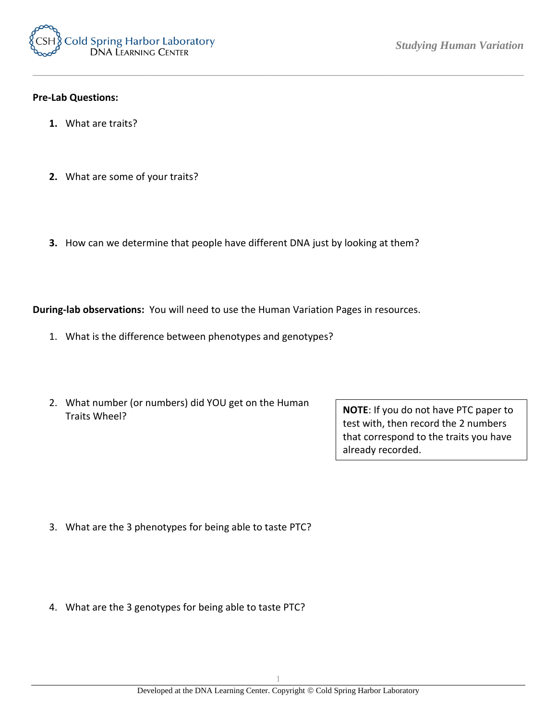

## **Pre-Lab Questions:**

- **1.** What are traits?
- **2.** What are some of your traits?
- **3.** How can we determine that people have different DNA just by looking at them?

*\_\_\_\_\_\_\_\_\_\_\_\_\_\_\_\_\_\_\_\_\_\_\_\_\_\_\_\_\_\_\_\_\_\_\_\_\_\_\_\_\_\_\_\_\_\_\_\_\_\_\_\_\_\_\_\_\_\_\_\_\_\_\_\_\_\_\_\_\_\_\_\_\_\_\_\_\_\_\_\_\_\_\_\_\_\_\_\_\_\_*

**During-lab observations:** You will need to use the Human Variation Pages in resources.

- 1. What is the difference between phenotypes and genotypes?
- 2. What number (or numbers) did YOU get on the Human Traits Wheel?

**NOTE**: If you do not have PTC paper to test with, then record the 2 numbers that correspond to the traits you have already recorded.

- 3. What are the 3 phenotypes for being able to taste PTC?
- 4. What are the 3 genotypes for being able to taste PTC?